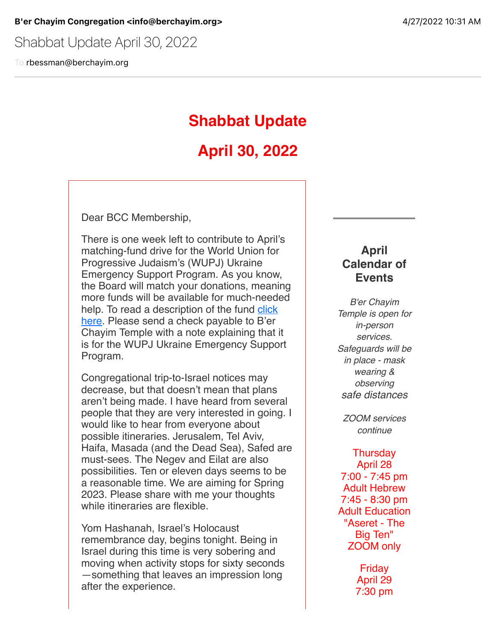Shabbat Update April 30, 2022

To rbessman@berchayim.org

## **Shabbat Update**

# **April 30, 2022**

Dear BCC Membership,

There is one week left to contribute to April's matching-fund drive for the World Union for Progressive Judaism's (WUPJ) Ukraine Emergency Support Program. As you know, the Board will match your donations, meaning more funds will be available for much-needed [help. To read a description of the fund click](https://click.icptrack.com/icp/relay.php?r=119985007&msgid=901369&act=4970&c=592337&pid=8610104&destination=https%3A%2F%2Fwupj.org%2Fnews%2F2022%2F03%2F52184%2Fwupj-and-eupj-launch-ukraine-emergency-support-program&cf=5618&v=f1b97a96a32ad25a66b16a7d33c7a33fb83358690fb870f2a14ceeebbfca687b) here. Please send a check payable to B'er Chayim Temple with a note explaining that it is for the WUPJ Ukraine Emergency Support Program.

Congregational trip-to-Israel notices may decrease, but that doesn't mean that plans aren't being made. I have heard from several people that they are very interested in going. I would like to hear from everyone about possible itineraries. Jerusalem, Tel Aviv, Haifa, Masada (and the Dead Sea), Safed are must-sees. The Negev and Eilat are also possibilities. Ten or eleven days seems to be a reasonable time. We are aiming for Spring 2023. Please share with me your thoughts while itineraries are flexible.

Yom Hashanah, Israel's Holocaust remembrance day, begins tonight. Being in Israel during this time is very sobering and moving when activity stops for sixty seconds —something that leaves an impression long after the experience.

### **April Calendar of Events**

*B'er Chayim Temple is open for in-person services. Safeguards will be in place - mask wearing & observing safe distances*

*ZOOM services continue*

**Thursday** April 28 7:00 - 7:45 pm Adult Hebrew 7:45 - 8:30 pm Adult Education "Aseret - The Big Ten" ZOOM only

> Friday April 29 7:30 pm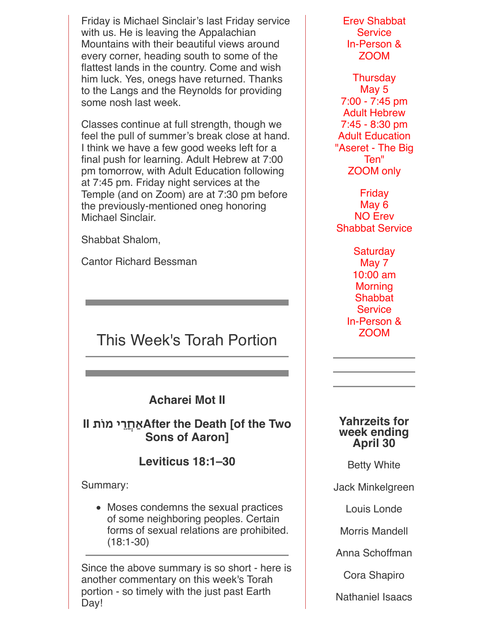Friday is Michael Sinclair's last Friday service with us. He is leaving the Appalachian Mountains with their beautiful views around every corner, heading south to some of the flattest lands in the country. Come and wish him luck. Yes, onegs have returned. Thanks to the Langs and the Reynolds for providing some nosh last week.

Classes continue at full strength, though we feel the pull of summer's break close at hand. I think we have a few good weeks left for a final push for learning. Adult Hebrew at 7:00 pm tomorrow, with Adult Education following at 7:45 pm. Friday night services at the Temple (and on Zoom) are at 7:30 pm before the previously-mentioned oneg honoring Michael Sinclair.

Shabbat Shalom,

Cantor Richard Bessman

# This Week's Torah Portion

**Acharei Mot II**

**II ת"מ י%ֲחַאAfter the Death [of the Two Sons of Aaron]**

**Leviticus 18:1–30**

Summary:

Moses condemns the sexual practices of some neighboring peoples. Certain forms of sexual relations are prohibited. (18:1-30)

Since the above summary is so short - here is another commentary on this week's Torah portion - so timely with the just past Earth Dav!

Erev Shabbat **Service** In-Person & ZOOM

**Thursday** May 5 7:00 - 7:45 pm Adult Hebrew 7:45 - 8:30 pm Adult Education "Aseret - The Big Ten" ZOOM only

Friday May 6 NO Erev Shabbat Service

> **Saturday** May 7 10:00 am **Morning Shabbat Service** In-Person & ZOOM

#### **Yahrzeits for week ending April 30**

Betty White

Jack Minkelgreen

Louis Londe

Morris Mandell

Anna Schoffman

Cora Shapiro

Nathaniel Isaacs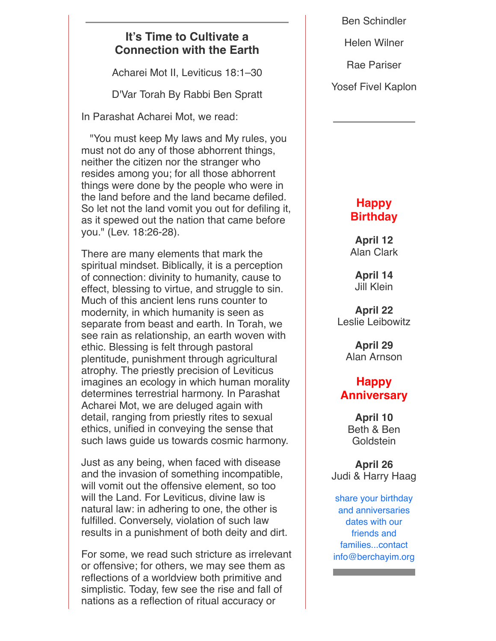### **It's Time to Cultivate a Connection with the Earth**

Acharei Mot II, Leviticus 18:1–30

D'Var Torah By Rabbi Ben Spratt

In Parashat Acharei Mot, we read:

 "You must keep My laws and My rules, you must not do any of those abhorrent things, neither the citizen nor the stranger who resides among you; for all those abhorrent things were done by the people who were in the land before and the land became defiled. So let not the land vomit you out for defiling it, as it spewed out the nation that came before you." (Lev. 18:26-28).

There are many elements that mark the spiritual mindset. Biblically, it is a perception of connection: divinity to humanity, cause to effect, blessing to virtue, and struggle to sin. Much of this ancient lens runs counter to modernity, in which humanity is seen as separate from beast and earth. In Torah, we see rain as relationship, an earth woven with ethic. Blessing is felt through pastoral plentitude, punishment through agricultural atrophy. The priestly precision of Leviticus imagines an ecology in which human morality determines terrestrial harmony. In Parashat Acharei Mot, we are deluged again with detail, ranging from priestly rites to sexual ethics, unified in conveying the sense that such laws guide us towards cosmic harmony.

Just as any being, when faced with disease and the invasion of something incompatible, will vomit out the offensive element, so too will the Land. For Leviticus, divine law is natural law: in adhering to one, the other is fulfilled. Conversely, violation of such law results in a punishment of both deity and dirt.

For some, we read such stricture as irrelevant or offensive; for others, we may see them as reflections of a worldview both primitive and simplistic. Today, few see the rise and fall of nations as a reflection of ritual accuracy or

Ben Schindler

Helen Wilner

Rae Pariser

Yosef Fivel Kaplon

## **Happy Birthday**

**April 12** Alan Clark

**April 14** Jill Klein

**April 22** Leslie Leibowitz

> **April 29** Alan Arnson

## **Happy Anniversary**

**April 10** Beth & Ben **Goldstein** 

**April 26** Judi & Harry Haag

share your birthday and anniversaries dates with our friends and families...contact info@berchayim.org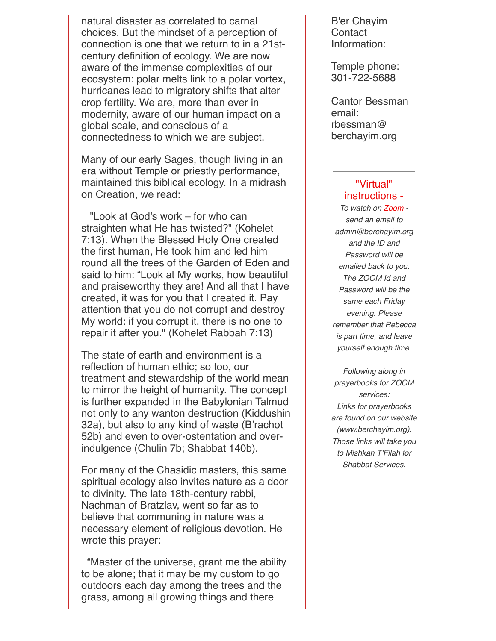natural disaster as correlated to carnal choices. But the mindset of a perception of connection is one that we return to in a 21stcentury definition of ecology. We are now aware of the immense complexities of our ecosystem: polar melts link to a polar vortex, hurricanes lead to migratory shifts that alter crop fertility. We are, more than ever in modernity, aware of our human impact on a global scale, and conscious of a connectedness to which we are subject.

Many of our early Sages, though living in an era without Temple or priestly performance, maintained this biblical ecology. In a midrash on Creation, we read:

 "Look at God's work – for who can straighten what He has twisted?" (Kohelet 7:13). When the Blessed Holy One created the first human, He took him and led him round all the trees of the Garden of Eden and said to him: "Look at My works, how beautiful and praiseworthy they are! And all that I have created, it was for you that I created it. Pay attention that you do not corrupt and destroy My world: if you corrupt it, there is no one to repair it after you." (Kohelet Rabbah 7:13)

The state of earth and environment is a reflection of human ethic; so too, our treatment and stewardship of the world mean to mirror the height of humanity. The concept is further expanded in the Babylonian Talmud not only to any wanton destruction (Kiddushin 32a), but also to any kind of waste (B'rachot 52b) and even to over-ostentation and overindulgence (Chulin 7b; Shabbat 140b).

For many of the Chasidic masters, this same spiritual ecology also invites nature as a door to divinity. The late 18th-century rabbi, Nachman of Bratzlav, went so far as to believe that communing in nature was a necessary element of religious devotion. He wrote this prayer:

 "Master of the universe, grant me the ability to be alone; that it may be my custom to go outdoors each day among the trees and the grass, among all growing things and there

B'er Chayim **Contact** Information:

Temple phone: 301-722-5688

Cantor Bessman email: rbessman@ berchayim.org

#### "Virtual" instructions -

*To watch on Zoom send an email to admin@berchayim.org and the ID and Password will be emailed back to you. The ZOOM Id and Password will be the same each Friday evening. Please remember that Rebecca is part time, and leave yourself enough time.*

*Following along in prayerbooks for ZOOM services: Links for prayerbooks are found on our website (www.berchayim.org). Those links will take you to Mishkah T'Filah for Shabbat Services.*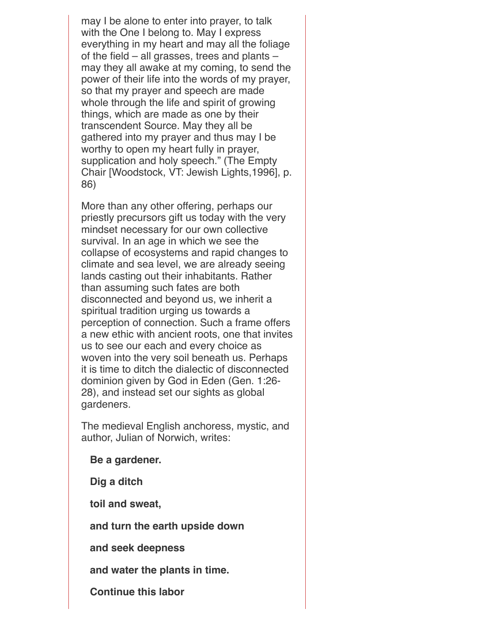may I be alone to enter into prayer, to talk with the One I belong to. May I express everything in my heart and may all the foliage of the field – all grasses, trees and plants – may they all awake at my coming, to send the power of their life into the words of my prayer, so that my prayer and speech are made whole through the life and spirit of growing things, which are made as one by their transcendent Source. May they all be gathered into my prayer and thus may I be worthy to open my heart fully in prayer, supplication and holy speech." (The Empty Chair [Woodstock, VT: Jewish Lights,1996], p. 86)

More than any other offering, perhaps our priestly precursors gift us today with the very mindset necessary for our own collective survival. In an age in which we see the collapse of ecosystems and rapid changes to climate and sea level, we are already seeing lands casting out their inhabitants. Rather than assuming such fates are both disconnected and beyond us, we inherit a spiritual tradition urging us towards a perception of connection. Such a frame offers a new ethic with ancient roots, one that invites us to see our each and every choice as woven into the very soil beneath us. Perhaps it is time to ditch the dialectic of disconnected dominion given by God in Eden (Gen. 1:26- 28), and instead set our sights as global gardeners.

The medieval English anchoress, mystic, and author, Julian of Norwich, writes:

**Be a gardener.**

 **Dig a ditch**

 **toil and sweat,**

 **and turn the earth upside down**

 **and seek deepness**

 **and water the plants in time.**

 **Continue this labor**